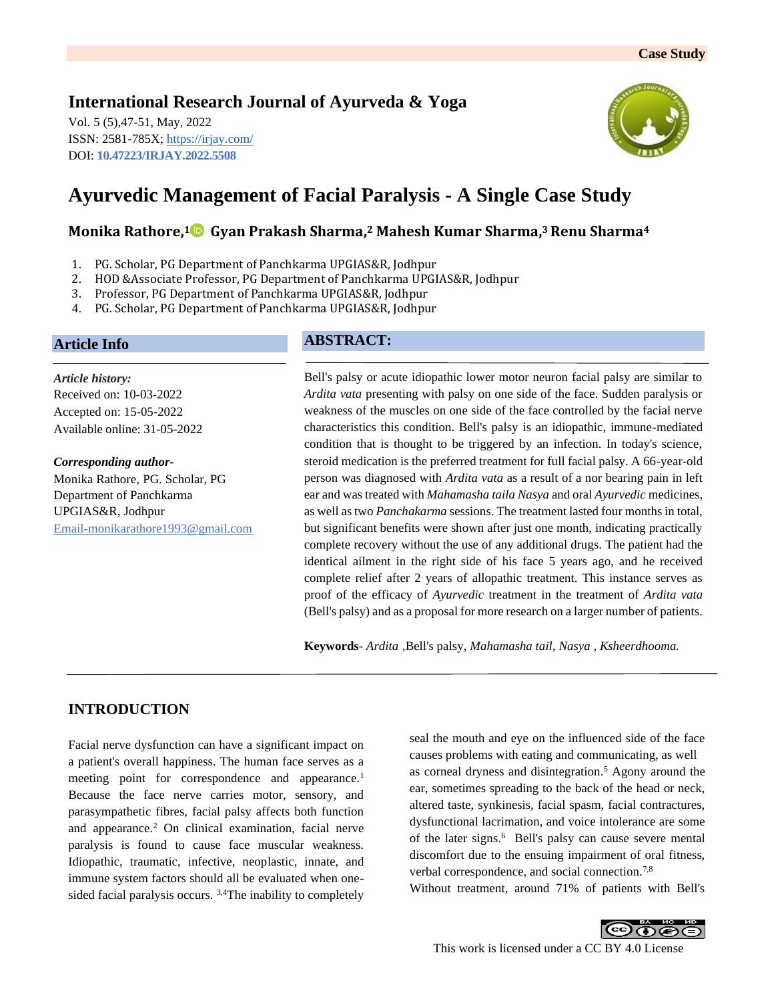# **International Research Journal of Ayurveda & Yoga**

Vol. 5 (5),47-51, May, 2022 ISSN: 2581-785X;<https://irjay.com/> DOI: **10.47223/IRJAY.2022.5508**



# **Ayurvedic Management of Facial Paralysis - A Single Case Study**

# **Monika Rathore, <sup>1</sup> Gyan Prakash Sharma, <sup>2</sup> Mahesh Kumar Sharma, <sup>3</sup>Renu Sharma<sup>4</sup>**

- 1. PG. Scholar, PG Department of Panchkarma UPGIAS&R, Jodhpur
- 2. HOD &Associate Professor, PG Department of Panchkarma UPGIAS&R, Jodhpur
- 3. Professor, PG Department of Panchkarma UPGIAS&R, Jodhpur
- 4. PG. Scholar, PG Department of Panchkarma UPGIAS&R, Jodhpur

### **Article Info**

*Article history:* Received on: 10-03-2022 Accepted on: 15-05-2022 Available online: 31-05-2022

*Corresponding author-*Monika Rathore, PG. Scholar, PG Department of Panchkarma UPGIAS&R, Jodhpur Email-monikarathore1993@gmail.com

## **ABSTRACT:**

Bell's palsy or acute idiopathic lower motor neuron facial palsy are similar to *Ardita vata* presenting with palsy on one side of the face. Sudden paralysis or weakness of the muscles on one side of the face controlled by the facial nerve characteristics this condition. Bell's palsy is an idiopathic, immune-mediated condition that is thought to be triggered by an infection. In today's science, steroid medication is the preferred treatment for full facial palsy. A 66-year-old person was diagnosed with *Ardita vata* as a result of a nor bearing pain in left ear and was treated with *Mahamasha taila Nasya* and oral *Ayurvedic* medicines, as well as two *Panchakarma* sessions. The treatment lasted four months in total, but significant benefits were shown after just one month, indicating practically complete recovery without the use of any additional drugs. The patient had the identical ailment in the right side of his face 5 years ago, and he received complete relief after 2 years of allopathic treatment. This instance serves as proof of the efficacy of *Ayurvedic* treatment in the treatment of *Ardita vata* (Bell's palsy) and as a proposal for more research on a larger number of patients.

**Keywords**- *Ardita* ,Bell's palsy, *Mahamasha tail*, *Nasya , Ksheerdhooma.*

# **INTRODUCTION**

Facial nerve dysfunction can have a significant impact on a patient's overall happiness. The human face serves as a meeting point for correspondence and appearance.<sup>1</sup> Because the face nerve carries motor, sensory, and parasympathetic fibres, facial palsy affects both function and appearance.<sup>2</sup> On clinical examination, facial nerve paralysis is found to cause face muscular weakness. Idiopathic, traumatic, infective, neoplastic, innate, and immune system factors should all be evaluated when onesided facial paralysis occurs. <sup>3,4</sup>The inability to completely seal the mouth and eye on the influenced side of the face causes problems with eating and communicating, as well as corneal dryness and disintegration.<sup>5</sup> Agony around the ear, sometimes spreading to the back of the head or neck, altered taste, synkinesis, facial spasm, facial contractures, dysfunctional lacrimation, and voice intolerance are some of the later signs.<sup>6</sup> Bell's palsy can cause severe mental discomfort due to the ensuing impairment of oral fitness, verbal correspondence, and social connection.<sup>7,8</sup>

Without treatment, around 71% of patients with Bell's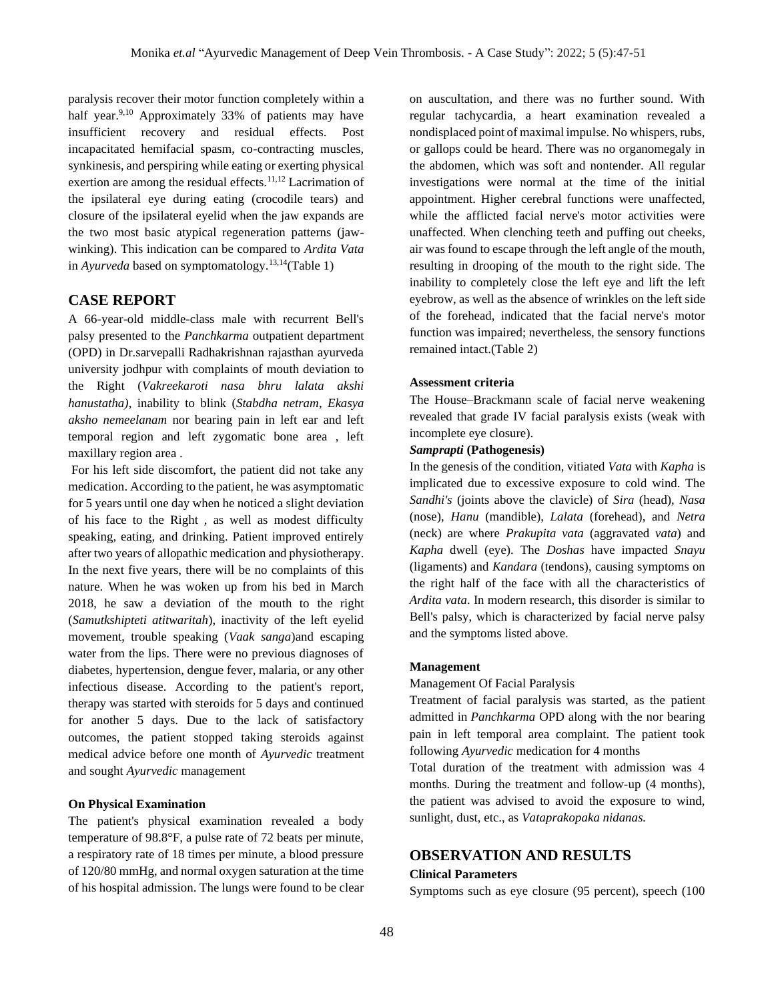paralysis recover their motor function completely within a half year.<sup>9,10</sup> Approximately 33% of patients may have insufficient recovery and residual effects. Post incapacitated hemifacial spasm, co-contracting muscles, synkinesis, and perspiring while eating or exerting physical exertion are among the residual effects.<sup>11,12</sup> Lacrimation of the ipsilateral eye during eating (crocodile tears) and closure of the ipsilateral eyelid when the jaw expands are the two most basic atypical regeneration patterns (jawwinking). This indication can be compared to *Ardita Vata* in *Ayurveda* based on symptomatology.<sup>13,14</sup>(Table 1)

## **CASE REPORT**

A 66-year-old middle-class male with recurrent Bell's palsy presented to the *Panchkarma* outpatient department (OPD) in Dr.sarvepalli Radhakrishnan rajasthan ayurveda university jodhpur with complaints of mouth deviation to the Right (*Vakreekaroti nasa bhru lalata akshi hanustatha)*, inability to blink (*Stabdha netram*, *Ekasya aksho nemeelanam* nor bearing pain in left ear and left temporal region and left zygomatic bone area , left maxillary region area .

For his left side discomfort, the patient did not take any medication. According to the patient, he was asymptomatic for 5 years until one day when he noticed a slight deviation of his face to the Right , as well as modest difficulty speaking, eating, and drinking. Patient improved entirely after two years of allopathic medication and physiotherapy. In the next five years, there will be no complaints of this nature. When he was woken up from his bed in March 2018, he saw a deviation of the mouth to the right (*Samutkshipteti atitwaritah*), inactivity of the left eyelid movement, trouble speaking (*Vaak sanga*)and escaping water from the lips. There were no previous diagnoses of diabetes, hypertension, dengue fever, malaria, or any other infectious disease. According to the patient's report, therapy was started with steroids for 5 days and continued for another 5 days. Due to the lack of satisfactory outcomes, the patient stopped taking steroids against medical advice before one month of *Ayurvedic* treatment and sought *Ayurvedic* management

#### **On Physical Examination**

The patient's physical examination revealed a body temperature of 98.8°F, a pulse rate of 72 beats per minute, a respiratory rate of 18 times per minute, a blood pressure of 120/80 mmHg, and normal oxygen saturation at the time of his hospital admission. The lungs were found to be clear on auscultation, and there was no further sound. With regular tachycardia, a heart examination revealed a nondisplaced point of maximal impulse. No whispers, rubs, or gallops could be heard. There was no organomegaly in the abdomen, which was soft and nontender. All regular investigations were normal at the time of the initial appointment. Higher cerebral functions were unaffected, while the afflicted facial nerve's motor activities were unaffected. When clenching teeth and puffing out cheeks, air was found to escape through the left angle of the mouth, resulting in drooping of the mouth to the right side. The inability to completely close the left eye and lift the left eyebrow, as well as the absence of wrinkles on the left side of the forehead, indicated that the facial nerve's motor function was impaired; nevertheless, the sensory functions remained intact.(Table 2)

#### **Assessment criteria**

The House–Brackmann scale of facial nerve weakening revealed that grade IV facial paralysis exists (weak with incomplete eye closure).

#### *Samprapti* **(Pathogenesis)**

In the genesis of the condition, vitiated *Vata* with *Kapha* is implicated due to excessive exposure to cold wind. The *Sandhi's* (joints above the clavicle) of *Sira* (head), *Nasa* (nose), *Hanu* (mandible), *Lalata* (forehead), and *Netra* (neck) are where *Prakupita vata* (aggravated *vata*) and *Kapha* dwell (eye). The *Doshas* have impacted *Snayu*  (ligaments) and *Kandara* (tendons), causing symptoms on the right half of the face with all the characteristics of *Ardita vata*. In modern research, this disorder is similar to Bell's palsy, which is characterized by facial nerve palsy and the symptoms listed above.

#### **Management**

#### Management Of Facial Paralysis

Treatment of facial paralysis was started, as the patient admitted in *Panchkarma* OPD along with the nor bearing pain in left temporal area complaint. The patient took following *Ayurvedic* medication for 4 months

Total duration of the treatment with admission was 4 months. During the treatment and follow-up (4 months), the patient was advised to avoid the exposure to wind, sunlight, dust, etc., as *Vataprakopaka nidanas.*

#### **OBSERVATION AND RESULTS**

#### **Clinical Parameters**

Symptoms such as eye closure (95 percent), speech (100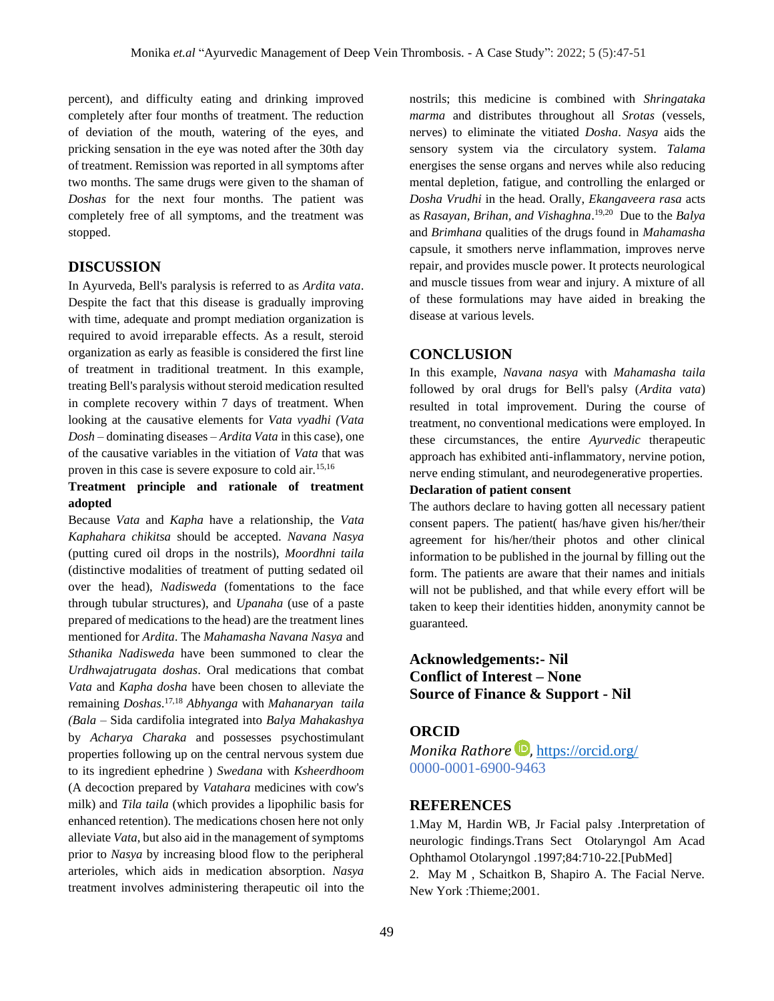percent), and difficulty eating and drinking improved completely after four months of treatment. The reduction of deviation of the mouth, watering of the eyes, and pricking sensation in the eye was noted after the 30th day of treatment. Remission was reported in all symptoms after two months. The same drugs were given to the shaman of *Doshas* for the next four months. The patient was completely free of all symptoms, and the treatment was stopped.

## **DISCUSSION**

In Ayurveda, Bell's paralysis is referred to as *Ardita vata*. Despite the fact that this disease is gradually improving with time, adequate and prompt mediation organization is required to avoid irreparable effects. As a result, steroid organization as early as feasible is considered the first line of treatment in traditional treatment. In this example, treating Bell's paralysis without steroid medication resulted in complete recovery within 7 days of treatment. When looking at the causative elements for *Vata vyadhi (Vata Dosh –* dominating diseases – *Ardita Vata* in this case), one of the causative variables in the vitiation of *Vata* that was proven in this case is severe exposure to cold air.15,16

## **Treatment principle and rationale of treatment adopted**

Because *Vata* and *Kapha* have a relationship, the *Vata Kaphahara chikitsa* should be accepted. *Navana Nasya* (putting cured oil drops in the nostrils), *Moordhni taila* (distinctive modalities of treatment of putting sedated oil over the head), *Nadisweda* (fomentations to the face through tubular structures), and *Upanaha* (use of a paste prepared of medications to the head) are the treatment lines mentioned for *Ardita*. The *Mahamasha Navana Nasya* and *Sthanika Nadisweda* have been summoned to clear the *Urdhwajatrugata doshas*. Oral medications that combat *Vata* and *Kapha dosha* have been chosen to alleviate the remaining *Doshas*. 17,18 *Abhyanga* with *Mahanaryan taila (Bala* – Sida cardifolia integrated into *Balya Mahakashya* by *Acharya Charaka* and possesses psychostimulant properties following up on the central nervous system due to its ingredient ephedrine ) *Swedana* with *Ksheerdhoom*  (A decoction prepared by *Vatahara* medicines with cow's milk) and *Tila taila* (which provides a lipophilic basis for enhanced retention). The medications chosen here not only alleviate *Vata*, but also aid in the management of symptoms prior to *Nasya* by increasing blood flow to the peripheral arterioles, which aids in medication absorption. *Nasya* treatment involves administering therapeutic oil into the

nostrils; this medicine is combined with *Shringataka marma* and distributes throughout all *Srotas* (vessels, nerves) to eliminate the vitiated *Dosha*. *Nasya* aids the sensory system via the circulatory system. *Talama* energises the sense organs and nerves while also reducing mental depletion, fatigue, and controlling the enlarged or *Dosha Vrudhi* in the head. Orally, *Ekangaveera rasa* acts as *Rasayan, Brihan, and Vishaghna*. 19,20 Due to the *Balya*  and *Brimhana* qualities of the drugs found in *Mahamasha*  capsule, it smothers nerve inflammation, improves nerve repair, and provides muscle power. It protects neurological and muscle tissues from wear and injury. A mixture of all of these formulations may have aided in breaking the disease at various levels.

### **CONCLUSION**

In this example, *Navana nasya* with *Mahamasha taila* followed by oral drugs for Bell's palsy (*Ardita vata*) resulted in total improvement. During the course of treatment, no conventional medications were employed. In these circumstances, the entire *Ayurvedic* therapeutic approach has exhibited anti-inflammatory, nervine potion, nerve ending stimulant, and neurodegenerative properties.

#### **Declaration of patient consent**

The authors declare to having gotten all necessary patient consent papers. The patient( has/have given his/her/their agreement for his/her/their photos and other clinical information to be published in the journal by filling out the form. The patients are aware that their names and initials will not be published, and that while every effort will be taken to keep their identities hidden, anonymity cannot be guaranteed.

# **Acknowledgements:- Nil Conflict of Interest – None Source of Finance & Support - Nil**

## **ORCID**

*Monika Rathore* **D**, <https://orcid.org/> 0000-0001-6900-9463

## **REFERENCES**

1.May M, Hardin WB, Jr Facial palsy .Interpretation of neurologic findings.Trans Sect Otolaryngol Am Acad Ophthamol Otolaryngol .1997;84:710-22.[PubMed]

2. May M , Schaitkon B, Shapiro A. The Facial Nerve. New York :Thieme;2001.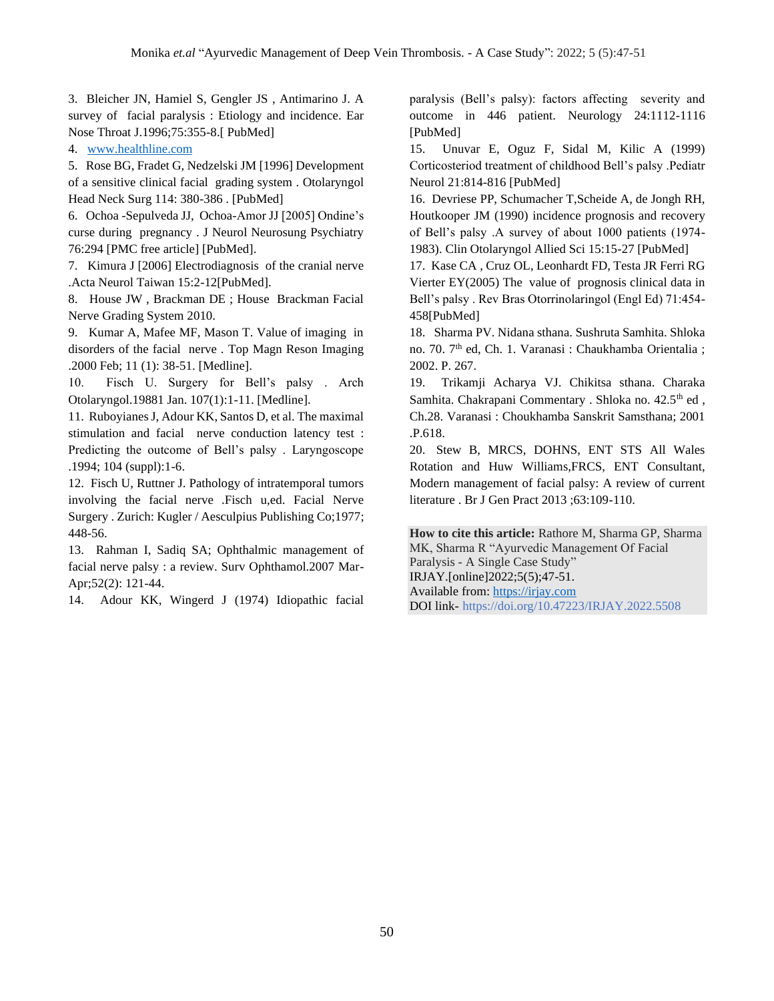3. Bleicher JN, Hamiel S, Gengler JS , Antimarino J. A survey of facial paralysis : Etiology and incidence. Ear Nose Throat J.1996;75:355-8.[ PubMed]

4. [www.healthline.com](http://www.healthline.com/)

5. Rose BG, Fradet G, Nedzelski JM [1996] Development of a sensitive clinical facial grading system . Otolaryngol Head Neck Surg 114: 380-386 . [PubMed]

6. Ochoa -Sepulveda JJ, Ochoa-Amor JJ [2005] Ondine's curse during pregnancy . J Neurol Neurosung Psychiatry 76:294 [PMC free article] [PubMed].

7. Kimura J [2006] Electrodiagnosis of the cranial nerve .Acta Neurol Taiwan 15:2-12[PubMed].

8. House JW , Brackman DE ; House Brackman Facial Nerve Grading System 2010.

9. Kumar A, Mafee MF, Mason T. Value of imaging in disorders of the facial nerve . Top Magn Reson Imaging .2000 Feb; 11 (1): 38-51. [Medline].

10. Fisch U. Surgery for Bell's palsy . Arch Otolaryngol.19881 Jan. 107(1):1-11. [Medline].

11. Ruboyianes J, Adour KK, Santos D, et al. The maximal stimulation and facial nerve conduction latency test : Predicting the outcome of Bell's palsy . Laryngoscope .1994; 104 (suppl):1-6.

12. Fisch U, Ruttner J. Pathology of intratemporal tumors involving the facial nerve .Fisch u,ed. Facial Nerve Surgery . Zurich: Kugler / Aesculpius Publishing Co;1977; 448-56.

13. Rahman I, Sadiq SA; Ophthalmic management of facial nerve palsy : a review. Surv Ophthamol.2007 Mar-Apr;52(2): 121-44.

14. Adour KK, Wingerd J (1974) Idiopathic facial

paralysis (Bell's palsy): factors affecting severity and outcome in 446 patient. Neurology 24:1112-1116 [PubMed]

15. Unuvar E, Oguz F, Sidal M, Kilic A (1999) Corticosteriod treatment of childhood Bell's palsy .Pediatr Neurol 21:814-816 [PubMed]

16. Devriese PP, Schumacher T,Scheide A, de Jongh RH, Houtkooper JM (1990) incidence prognosis and recovery of Bell's palsy .A survey of about 1000 patients (1974- 1983). Clin Otolaryngol Allied Sci 15:15-27 [PubMed]

17. Kase CA , Cruz OL, Leonhardt FD, Testa JR Ferri RG Vierter EY(2005) The value of prognosis clinical data in Bell's palsy . Rev Bras Otorrinolaringol (Engl Ed) 71:454- 458[PubMed]

18. Sharma PV. Nidana sthana. Sushruta Samhita. Shloka no. 70. 7th ed, Ch. 1. Varanasi : Chaukhamba Orientalia ; 2002. P. 267.

19. Trikamji Acharya VJ. Chikitsa sthana. Charaka Samhita. Chakrapani Commentary . Shloka no. 42.5<sup>th</sup> ed, Ch.28. Varanasi : Choukhamba Sanskrit Samsthana; 2001 .P.618.

20. Stew B, MRCS, DOHNS, ENT STS All Wales Rotation and Huw Williams,FRCS, ENT Consultant, Modern management of facial palsy: A review of current literature . Br J Gen Pract 2013 ;63:109-110.

**How to cite this article:** Rathore M, Sharma GP, Sharma MK, Sharma R "Ayurvedic Management Of Facial Paralysis - A Single Case Study" IRJAY.[online]2022;5(5);47-51. Available from: [https://irjay.com](https://irjay.com/) DOI link- https://doi.org/10.47223/IRJAY.2022.5508